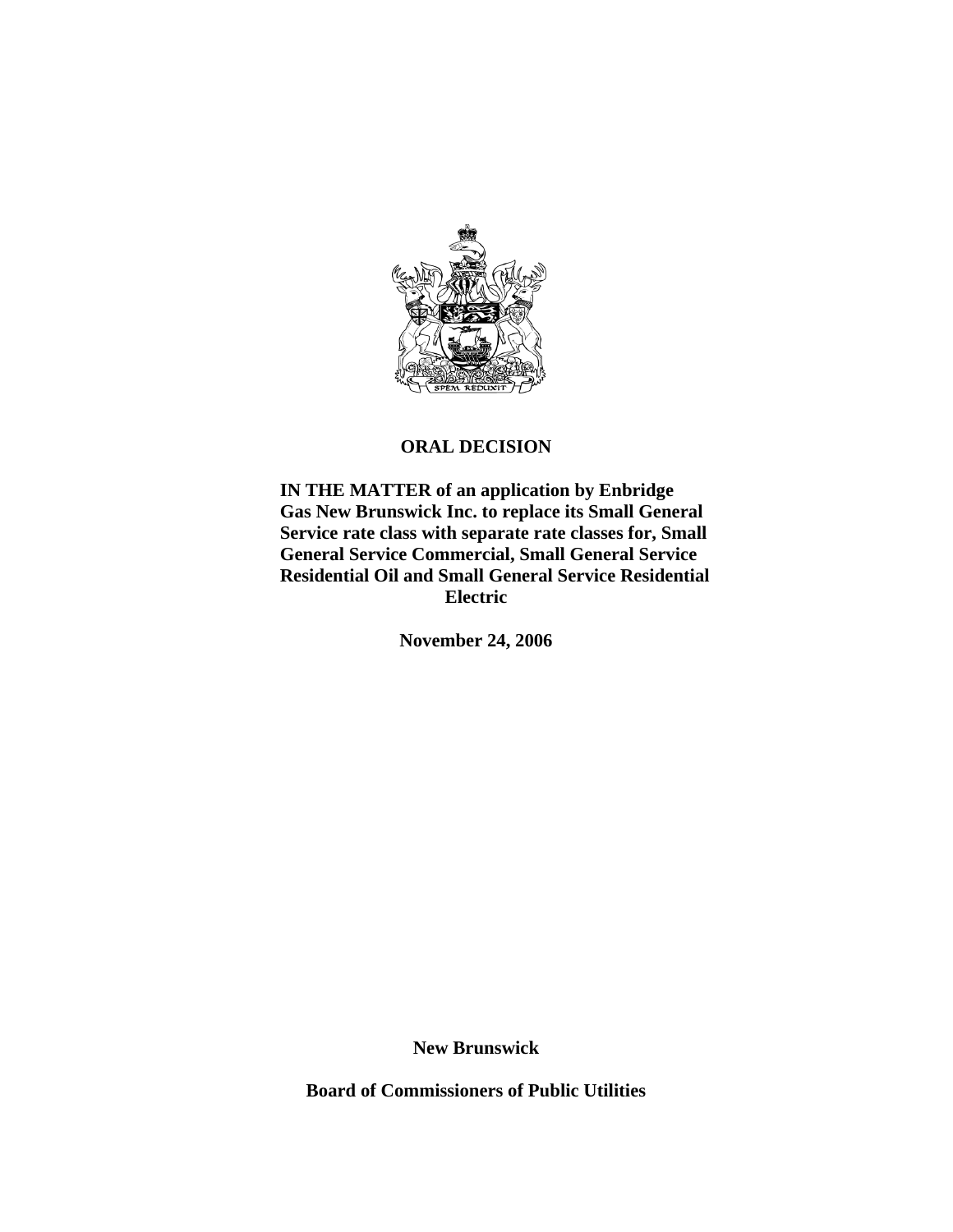

## **ORAL DECISION**

 **IN THE MATTER of an application by Enbridge Gas New Brunswick Inc. to replace its Small General Service rate class with separate rate classes for, Small General Service Commercial, Small General Service Residential Oil and Small General Service Residential Electric** 

**November 24, 2006** 

**New Brunswick**

**Board of Commissioners of Public Utilities**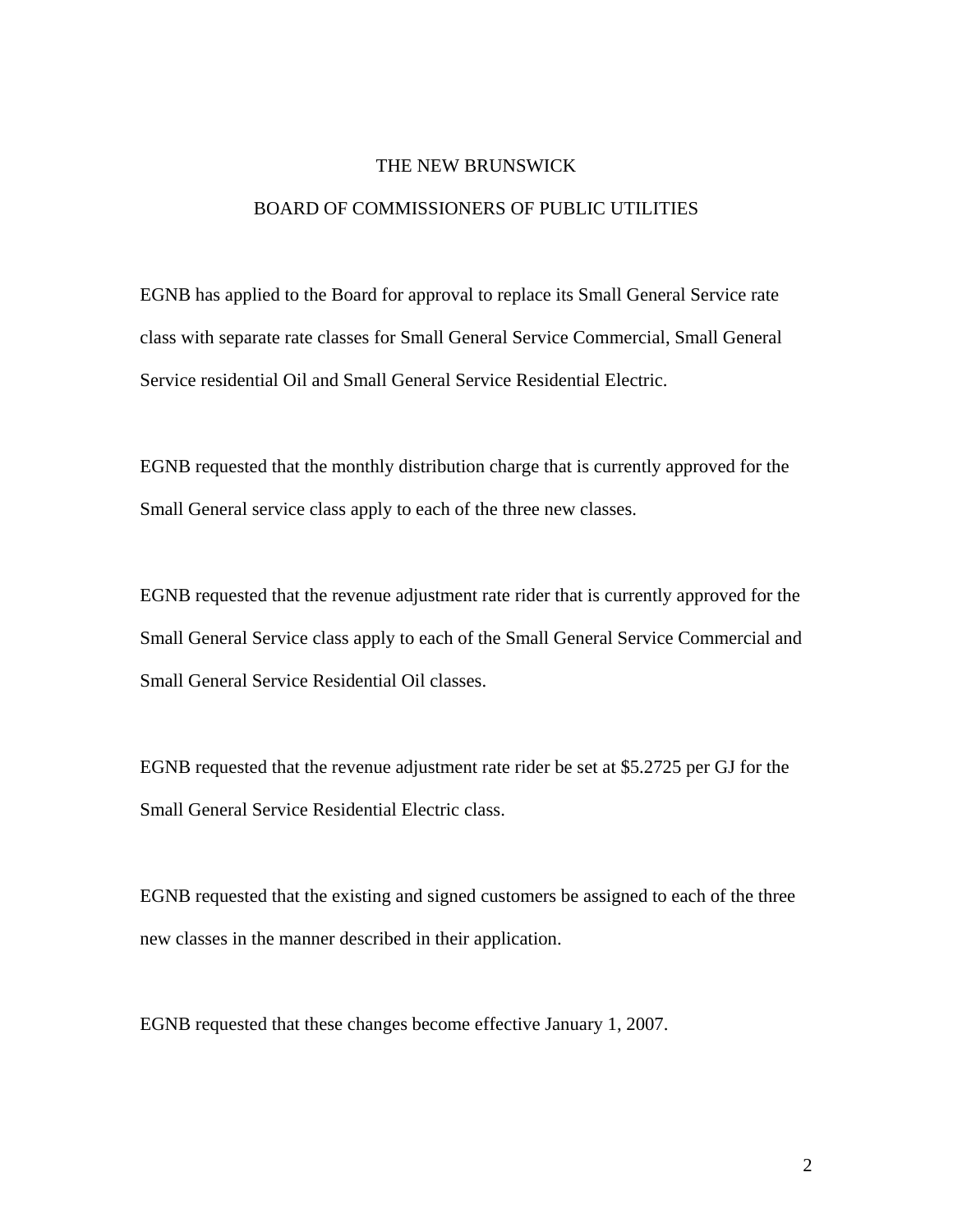## THE NEW BRUNSWICK

## BOARD OF COMMISSIONERS OF PUBLIC UTILITIES

EGNB has applied to the Board for approval to replace its Small General Service rate class with separate rate classes for Small General Service Commercial, Small General Service residential Oil and Small General Service Residential Electric.

EGNB requested that the monthly distribution charge that is currently approved for the Small General service class apply to each of the three new classes.

EGNB requested that the revenue adjustment rate rider that is currently approved for the Small General Service class apply to each of the Small General Service Commercial and Small General Service Residential Oil classes.

EGNB requested that the revenue adjustment rate rider be set at \$5.2725 per GJ for the Small General Service Residential Electric class.

EGNB requested that the existing and signed customers be assigned to each of the three new classes in the manner described in their application.

EGNB requested that these changes become effective January 1, 2007.